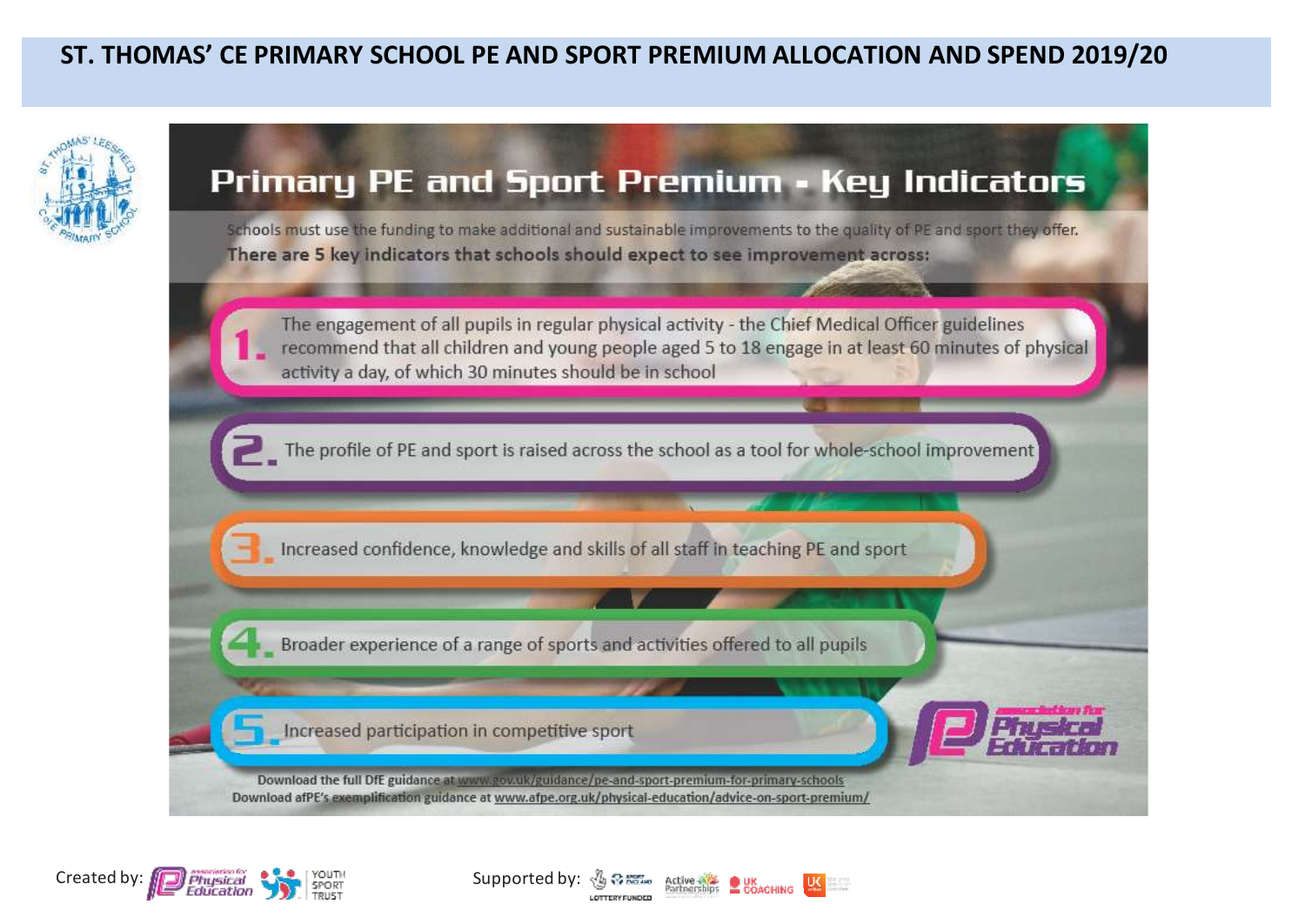## **ST. THOMAS' CE PRIMARY SCHOOL PE AND SPORT PREMIUM ALLOCATION AND SPEND 2019/20**



## Primary PE and Sport Premium - Key Indicators

Schools must use the funding to make additional and sustainable improvements to the quality of PE and sport they offer. There are 5 key indicators that schools should expect to see improvement across:



The profile of PE and sport is raised across the school as a tool for whole-school improvement

Increased confidence, knowledge and skills of all staff in teaching PE and sport

Broader experience of a range of sports and activities offered to all pupils

Increased participation in competitive sport

Download the full DfE guidance at www.gov.uk/guidance/pe-and-sport-premium-for-primary-schools Download afPE's exemplification guidance at www.afpe.org.uk/physical-education/advice-on-sport-premium/

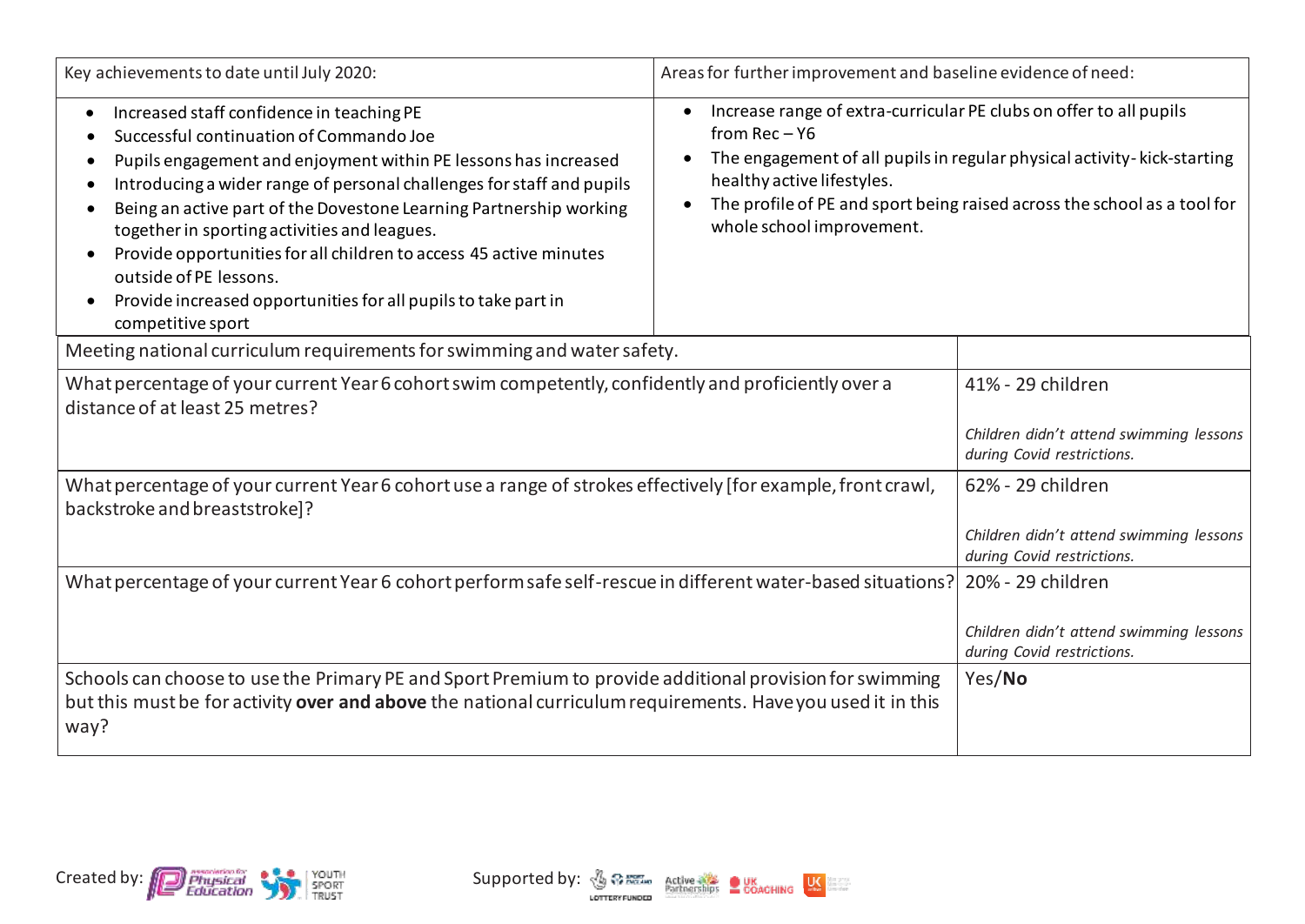| Key achievements to date until July 2020:                                                                                                                                                                                                                                                                                                                                                                                                                                                                                                     | Areas for further improvement and baseline evidence of need:                                                                                                                                                                                                                                                                      |  |  |
|-----------------------------------------------------------------------------------------------------------------------------------------------------------------------------------------------------------------------------------------------------------------------------------------------------------------------------------------------------------------------------------------------------------------------------------------------------------------------------------------------------------------------------------------------|-----------------------------------------------------------------------------------------------------------------------------------------------------------------------------------------------------------------------------------------------------------------------------------------------------------------------------------|--|--|
| Increased staff confidence in teaching PE<br>Successful continuation of Commando Joe<br>Pupils engagement and enjoyment within PE lessons has increased<br>Introducing a wider range of personal challenges for staff and pupils<br>Being an active part of the Dovestone Learning Partnership working<br>together in sporting activities and leagues.<br>Provide opportunities for all children to access 45 active minutes<br>outside of PE lessons.<br>Provide increased opportunities for all pupils to take part in<br>competitive sport | Increase range of extra-curricular PE clubs on offer to all pupils<br>$\bullet$<br>from $Rec - Y6$<br>The engagement of all pupils in regular physical activity-kick-starting<br>healthy active lifestyles.<br>The profile of PE and sport being raised across the school as a tool for<br>$\bullet$<br>whole school improvement. |  |  |
| Meeting national curriculum requirements for swimming and water safety.                                                                                                                                                                                                                                                                                                                                                                                                                                                                       |                                                                                                                                                                                                                                                                                                                                   |  |  |
| What percentage of your current Year 6 cohort swim competently, confidently and proficiently over a<br>distance of at least 25 metres?                                                                                                                                                                                                                                                                                                                                                                                                        | 41% - 29 children<br>Children didn't attend swimming lessons<br>during Covid restrictions.                                                                                                                                                                                                                                        |  |  |
| What percentage of your current Year 6 cohort use a range of strokes effectively [for example, front crawl,<br>backstroke and breaststroke]?                                                                                                                                                                                                                                                                                                                                                                                                  | 62% - 29 children<br>Children didn't attend swimming lessons<br>during Covid restrictions.                                                                                                                                                                                                                                        |  |  |
| What percentage of your current Year 6 cohort perform safe self-rescue in different water-based situations?                                                                                                                                                                                                                                                                                                                                                                                                                                   | 20% - 29 children<br>Children didn't attend swimming lessons<br>during Covid restrictions.                                                                                                                                                                                                                                        |  |  |
| Schools can choose to use the Primary PE and Sport Premium to provide additional provision for swimming<br>but this must be for activity over and above the national curriculum requirements. Have you used it in this<br>way?                                                                                                                                                                                                                                                                                                                | Yes/No                                                                                                                                                                                                                                                                                                                            |  |  |

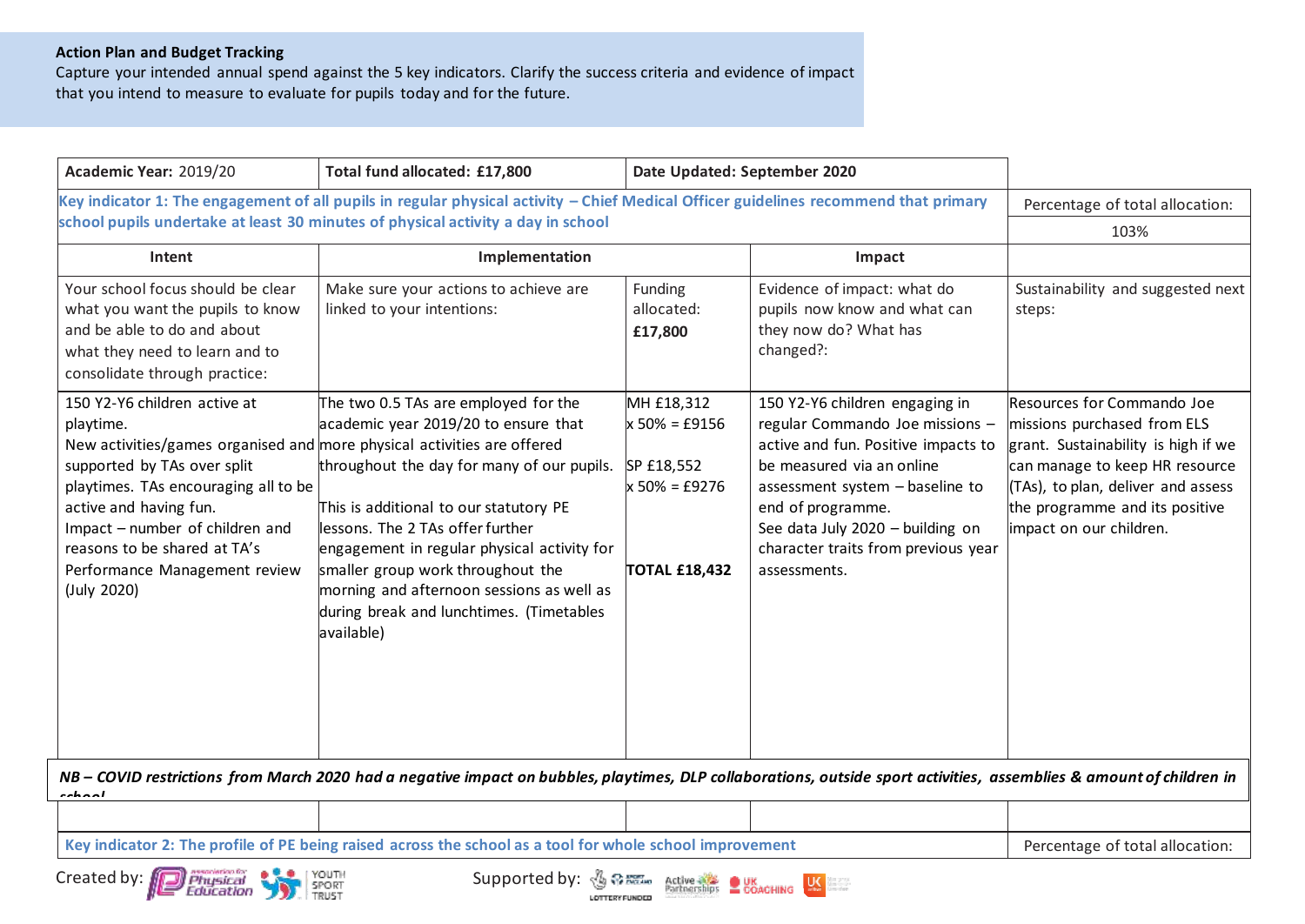## **Action Plan and Budget Tracking**

Capture your intended annual spend against the 5 key indicators. Clarify the success criteria and evidence of impact that you intend to measure to evaluate for pupils today and for the future.

| Academic Year: 2019/20                                                                                                                                                                                                                                                                                                                   | Total fund allocated: £17,800                                                                                                                                                                                                                                                                                                                                                                       | Date Updated: September 2020                                                             |                                                                                                                                                                                                                                                                                          |                                                                                                                                                                                                                                       |
|------------------------------------------------------------------------------------------------------------------------------------------------------------------------------------------------------------------------------------------------------------------------------------------------------------------------------------------|-----------------------------------------------------------------------------------------------------------------------------------------------------------------------------------------------------------------------------------------------------------------------------------------------------------------------------------------------------------------------------------------------------|------------------------------------------------------------------------------------------|------------------------------------------------------------------------------------------------------------------------------------------------------------------------------------------------------------------------------------------------------------------------------------------|---------------------------------------------------------------------------------------------------------------------------------------------------------------------------------------------------------------------------------------|
| Key indicator 1: The engagement of all pupils in regular physical activity - Chief Medical Officer guidelines recommend that primary<br>school pupils undertake at least 30 minutes of physical activity a day in school                                                                                                                 |                                                                                                                                                                                                                                                                                                                                                                                                     |                                                                                          |                                                                                                                                                                                                                                                                                          | Percentage of total allocation:<br>103%                                                                                                                                                                                               |
| Intent                                                                                                                                                                                                                                                                                                                                   | Implementation                                                                                                                                                                                                                                                                                                                                                                                      |                                                                                          | Impact                                                                                                                                                                                                                                                                                   |                                                                                                                                                                                                                                       |
| Your school focus should be clear<br>what you want the pupils to know<br>and be able to do and about<br>what they need to learn and to<br>consolidate through practice:                                                                                                                                                                  | Make sure your actions to achieve are<br>linked to your intentions:                                                                                                                                                                                                                                                                                                                                 | Funding<br>allocated:<br>£17,800                                                         | Evidence of impact: what do<br>pupils now know and what can<br>they now do? What has<br>changed?:                                                                                                                                                                                        | Sustainability and suggested next<br>steps:                                                                                                                                                                                           |
| 150 Y2-Y6 children active at<br>playtime.<br>New activities/games organised and more physical activities are offered<br>supported by TAs over split<br>playtimes. TAs encouraging all to be<br>active and having fun.<br>Impact - number of children and<br>reasons to be shared at TA's<br>Performance Management review<br>(July 2020) | The two 0.5 TAs are employed for the<br>academic year 2019/20 to ensure that<br>throughout the day for many of our pupils.<br>This is additional to our statutory PE<br>lessons. The 2 TAs offer further<br>engagement in regular physical activity for<br>smaller group work throughout the<br>morning and afternoon sessions as well as<br>during break and lunchtimes. (Timetables<br>available) | MH £18,312<br>$x 50\% = £9156$<br>SP £18,552<br>$x 50\% = £9276$<br><b>TOTAL £18,432</b> | 150 Y2-Y6 children engaging in<br>regular Commando Joe missions -<br>active and fun. Positive impacts to<br>be measured via an online<br>assessment system - baseline to<br>end of programme.<br>See data July 2020 - building on<br>character traits from previous year<br>assessments. | Resources for Commando Joe<br>missions purchased from ELS<br>grant. Sustainability is high if we<br>can manage to keep HR resource<br>(TAs), to plan, deliver and assess<br>the programme and its positive<br>impact on our children. |
| NB - COVID restrictions from March 2020 had a negative impact on bubbles, playtimes, DLP collaborations, outside sport activities, assemblies & amount of children in<br>$-1 - 1$                                                                                                                                                        |                                                                                                                                                                                                                                                                                                                                                                                                     |                                                                                          |                                                                                                                                                                                                                                                                                          |                                                                                                                                                                                                                                       |
|                                                                                                                                                                                                                                                                                                                                          |                                                                                                                                                                                                                                                                                                                                                                                                     |                                                                                          |                                                                                                                                                                                                                                                                                          |                                                                                                                                                                                                                                       |
| Key indicator 2: The profile of PE being raised across the school as a tool for whole school improvement                                                                                                                                                                                                                                 |                                                                                                                                                                                                                                                                                                                                                                                                     |                                                                                          |                                                                                                                                                                                                                                                                                          | Percentage of total allocation:                                                                                                                                                                                                       |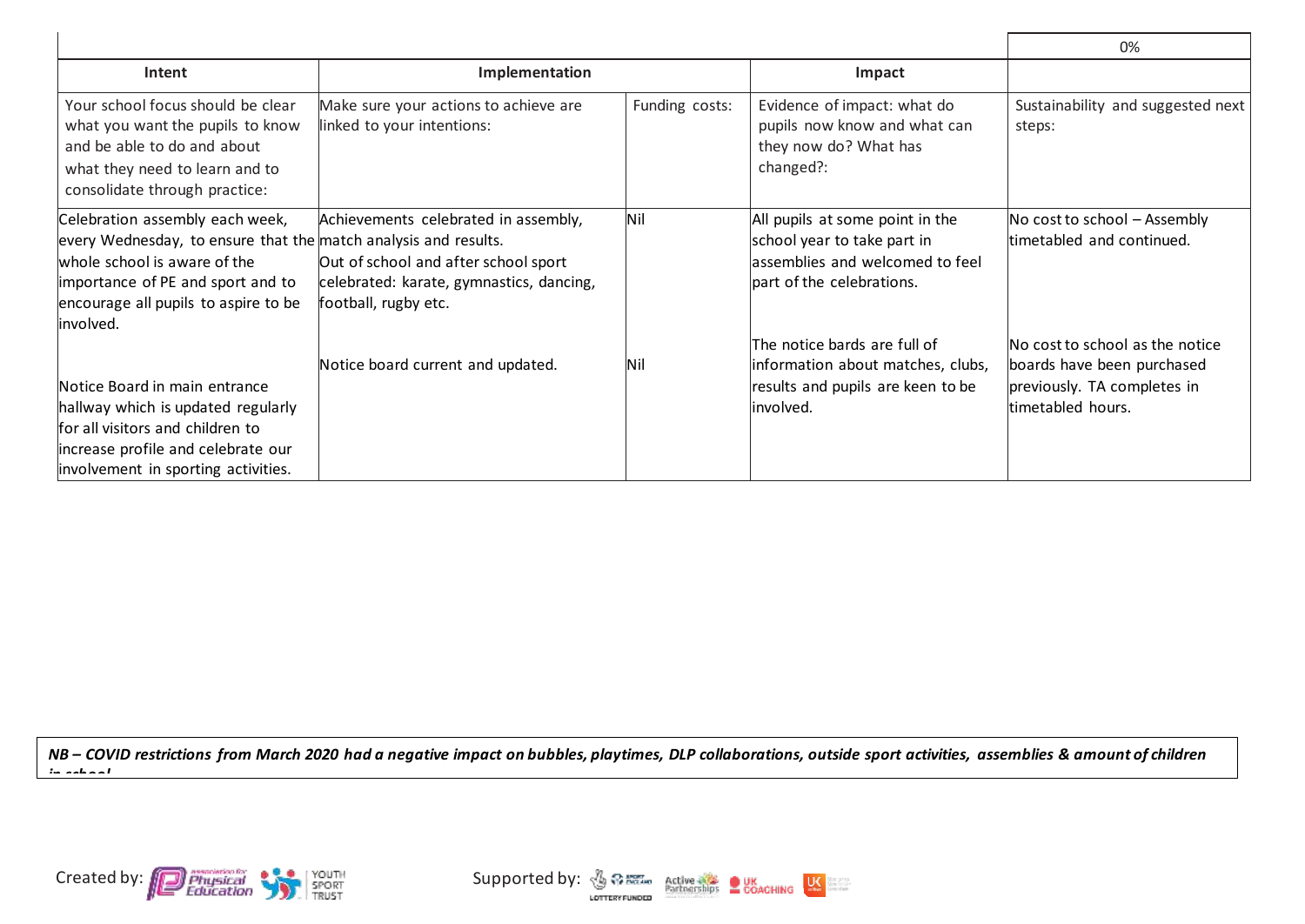|                                                                                                                                                                                                                              |                                                                                                                                                  |                |                                                                                                                                 | 0%                                                                                                                |
|------------------------------------------------------------------------------------------------------------------------------------------------------------------------------------------------------------------------------|--------------------------------------------------------------------------------------------------------------------------------------------------|----------------|---------------------------------------------------------------------------------------------------------------------------------|-------------------------------------------------------------------------------------------------------------------|
| Intent                                                                                                                                                                                                                       | Implementation                                                                                                                                   |                | Impact                                                                                                                          |                                                                                                                   |
| Your school focus should be clear<br>what you want the pupils to know<br>and be able to do and about<br>what they need to learn and to<br>consolidate through practice:                                                      | Make sure your actions to achieve are<br>linked to your intentions:                                                                              | Funding costs: | Evidence of impact: what do<br>pupils now know and what can<br>they now do? What has<br>changed?:                               | Sustainability and suggested next<br>steps:                                                                       |
| Celebration assembly each week,<br>every Wednesday, to ensure that the match analysis and results.<br>whole school is aware of the<br>importance of PE and sport and to<br>encourage all pupils to aspire to be<br>involved. | Achievements celebrated in assembly,<br>Out of school and after school sport<br>celebrated: karate, gymnastics, dancing,<br>football, rugby etc. | Nil            | All pupils at some point in the<br>school year to take part in<br>lassemblies and welcomed to feel<br>part of the celebrations. | No cost to school - Assembly<br>timetabled and continued.                                                         |
| Notice Board in main entrance<br>hallway which is updated regularly<br>for all visitors and children to<br>increase profile and celebrate our<br>involvement in sporting activities.                                         | Notice board current and updated.                                                                                                                | <b>Nil</b>     | The notice bards are full of<br>information about matches, clubs,<br>results and pupils are keen to be<br>involved.             | No cost to school as the notice<br>boards have been purchased<br>previously. TA completes in<br>timetabled hours. |

*NB – COVID restrictions from March 2020 had a negative impact on bubbles, playtimes, DLP collaborations, outside sport activities, assemblies & amount of children in school.*



 $\sim$ 

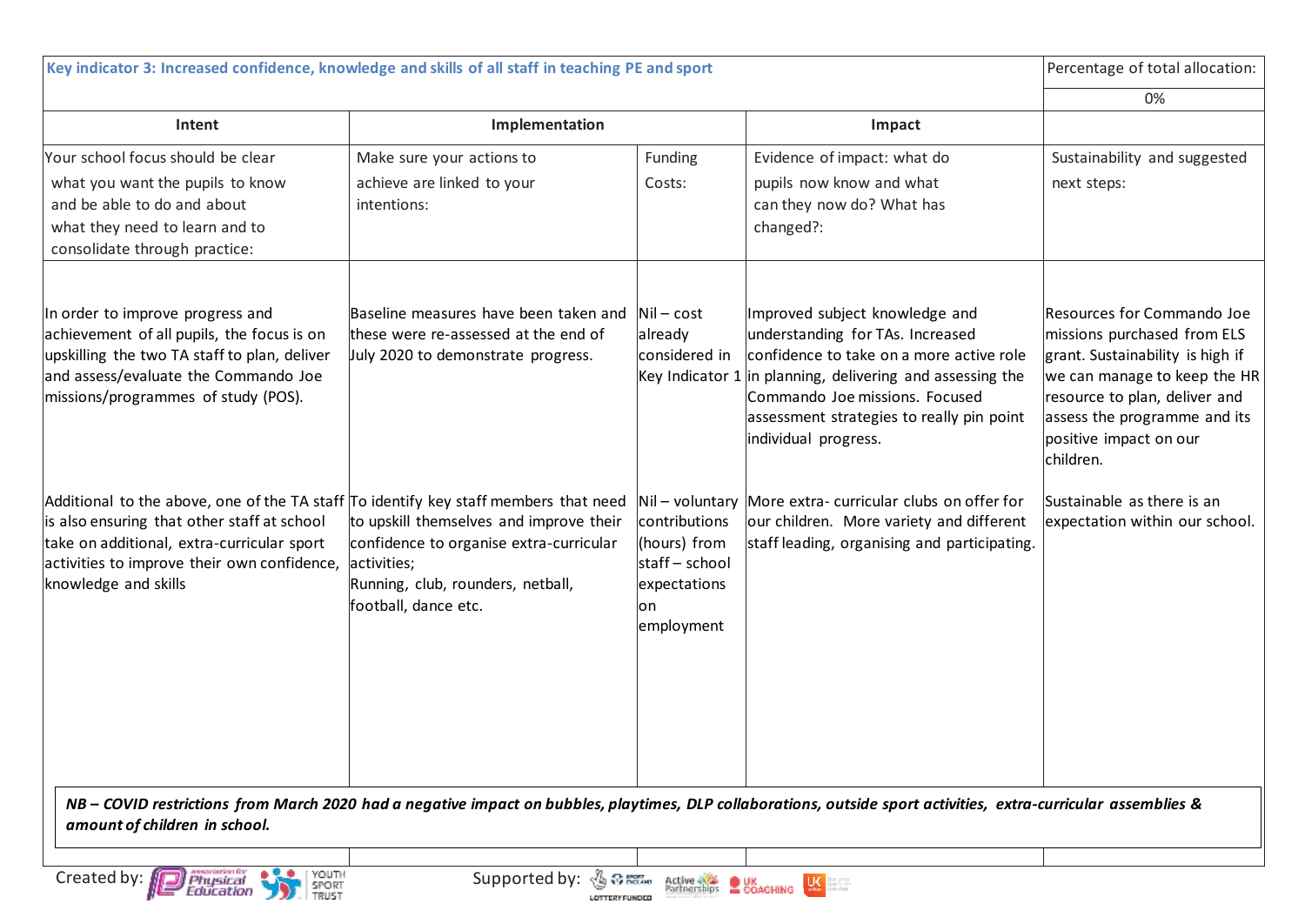| Key indicator 3: Increased confidence, knowledge and skills of all staff in teaching PE and sport                                                                                                                                                        |                                                                                                                                                                |                                                                                    |                                                                                                                                                                                                                                                                                      | Percentage of total allocation:                                                                                                                                                                                                       |
|----------------------------------------------------------------------------------------------------------------------------------------------------------------------------------------------------------------------------------------------------------|----------------------------------------------------------------------------------------------------------------------------------------------------------------|------------------------------------------------------------------------------------|--------------------------------------------------------------------------------------------------------------------------------------------------------------------------------------------------------------------------------------------------------------------------------------|---------------------------------------------------------------------------------------------------------------------------------------------------------------------------------------------------------------------------------------|
|                                                                                                                                                                                                                                                          |                                                                                                                                                                |                                                                                    | 0%                                                                                                                                                                                                                                                                                   |                                                                                                                                                                                                                                       |
| Intent                                                                                                                                                                                                                                                   | Implementation                                                                                                                                                 |                                                                                    | Impact                                                                                                                                                                                                                                                                               |                                                                                                                                                                                                                                       |
| Your school focus should be clear<br>what you want the pupils to know                                                                                                                                                                                    | Make sure your actions to<br>achieve are linked to your                                                                                                        | Funding<br>Costs:                                                                  | Evidence of impact: what do<br>pupils now know and what                                                                                                                                                                                                                              | Sustainability and suggested<br>next steps:                                                                                                                                                                                           |
| and be able to do and about<br>what they need to learn and to<br>consolidate through practice:                                                                                                                                                           | intentions:                                                                                                                                                    |                                                                                    | can they now do? What has<br>changed?:                                                                                                                                                                                                                                               |                                                                                                                                                                                                                                       |
| In order to improve progress and<br>achievement of all pupils, the focus is on<br>upskilling the two TA staff to plan, deliver<br>and assess/evaluate the Commando Joe<br>missions/programmes of study (POS).                                            | Baseline measures have been taken and<br>these were re-assessed at the end of<br>July 2020 to demonstrate progress.                                            | $\vert$ Nil – cost<br>already<br>considered in                                     | Improved subject knowledge and<br>understanding for TAs. Increased<br>confidence to take on a more active role<br>Key Indicator $1$ in planning, delivering and assessing the<br>Commando Joe missions. Focused<br>assessment strategies to really pin point<br>individual progress. | Resources for Commando Joe<br>missions purchased from ELS<br>grant. Sustainability is high if<br>we can manage to keep the HR<br>resource to plan, deliver and<br>assess the programme and its<br>positive impact on our<br>children. |
| Additional to the above, one of the TA staff To identify key staff members that need<br>is also ensuring that other staff at school<br>take on additional, extra-curricular sport<br>activities to improve their own confidence,<br>knowledge and skills | to upskill themselves and improve their<br>confidence to organise extra-curricular<br>activities;<br>Running, club, rounders, netball,<br>football, dance etc. | contributions<br>(hours) from<br>staff-school<br>expectations<br>lon<br>employment | Nil - voluntary More extra-curricular clubs on offer for<br>our children. More variety and different<br>staff leading, organising and participating.                                                                                                                                 | Sustainable as there is an<br>expectation within our school.                                                                                                                                                                          |
| NB – COVID restrictions from March 2020 had a negative impact on bubbles, playtimes, DLP collaborations, outside sport activities, extra-curricular assemblies &<br>amount of children in school.                                                        |                                                                                                                                                                |                                                                                    |                                                                                                                                                                                                                                                                                      |                                                                                                                                                                                                                                       |
|                                                                                                                                                                                                                                                          |                                                                                                                                                                |                                                                                    |                                                                                                                                                                                                                                                                                      |                                                                                                                                                                                                                                       |
| YOUTH<br>Created by:<br>Supported by:<br><b>SO PERSONAL PROPERTY</b><br>Physical<br>Active and LK Partnerships <b>DE COACHING</b><br><b>SPORT</b><br>Education<br>TRUST<br>LOTTERY FUNDED                                                                |                                                                                                                                                                |                                                                                    |                                                                                                                                                                                                                                                                                      |                                                                                                                                                                                                                                       |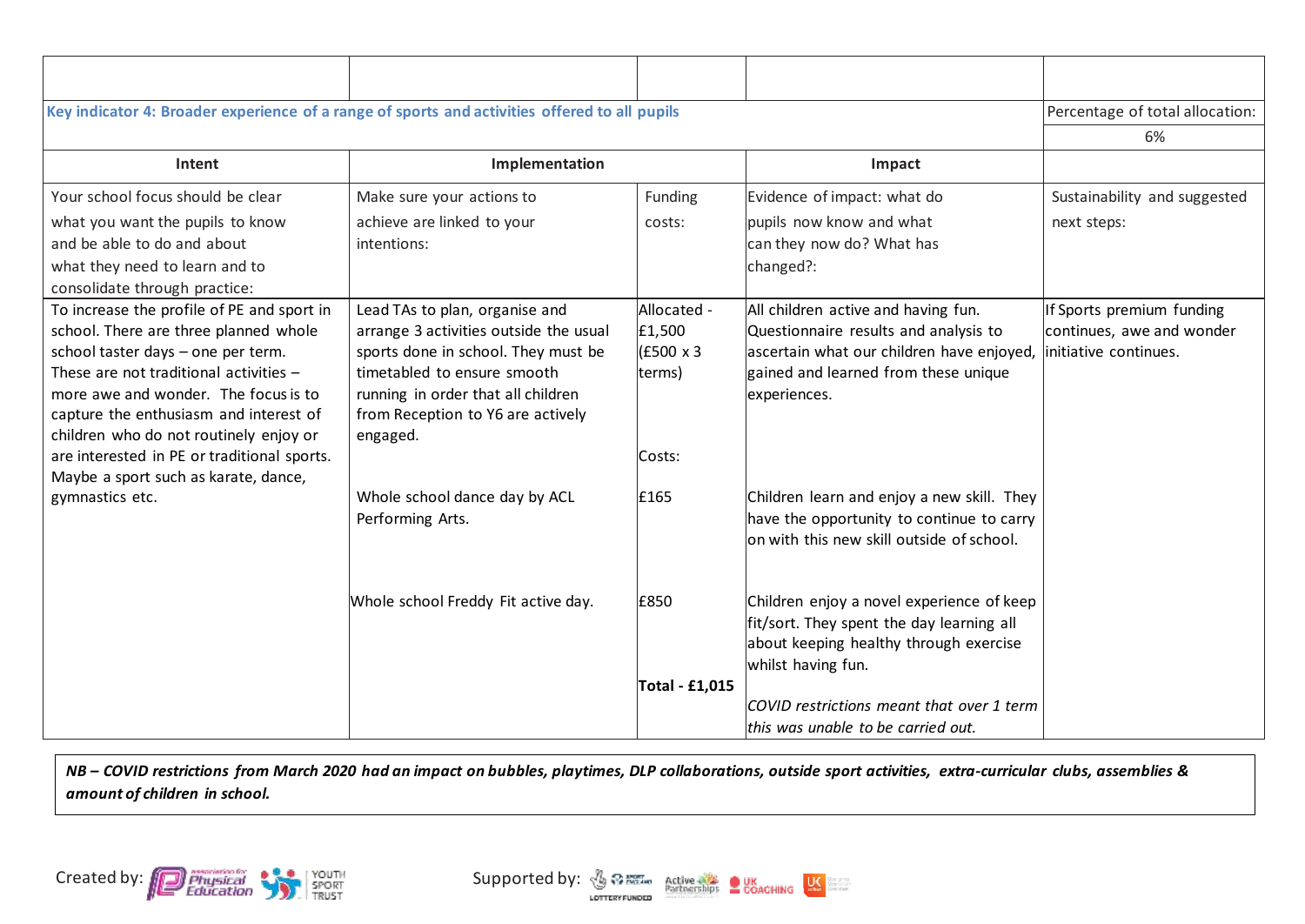| Key indicator 4: Broader experience of a range of sports and activities offered to all pupils | Percentage of total allocation:                                   |                |                                            |                              |
|-----------------------------------------------------------------------------------------------|-------------------------------------------------------------------|----------------|--------------------------------------------|------------------------------|
|                                                                                               | 6%                                                                |                |                                            |                              |
| Intent                                                                                        | Implementation                                                    |                | Impact                                     |                              |
| Your school focus should be clear                                                             | Make sure your actions to                                         | Funding        | Evidence of impact: what do                | Sustainability and suggested |
| what you want the pupils to know                                                              | achieve are linked to your                                        | costs:         | pupils now know and what                   | next steps:                  |
| and be able to do and about                                                                   | intentions:                                                       |                | can they now do? What has                  |                              |
| what they need to learn and to                                                                |                                                                   |                | changed?:                                  |                              |
| consolidate through practice:                                                                 |                                                                   |                |                                            |                              |
| To increase the profile of PE and sport in                                                    | Lead TAs to plan, organise and                                    | Allocated -    | All children active and having fun.        | If Sports premium funding    |
| school. There are three planned whole                                                         | arrange 3 activities outside the usual                            | E1,500         | Questionnaire results and analysis to      | continues, awe and wonder    |
| school taster days - one per term.                                                            | sports done in school. They must be                               | $ $ (£500 x 3  | ascertain what our children have enjoyed,  | initiative continues.        |
| These are not traditional activities $-$<br>more awe and wonder. The focus is to              | timetabled to ensure smooth<br>running in order that all children | terms)         | gained and learned from these unique       |                              |
| capture the enthusiasm and interest of                                                        | from Reception to Y6 are actively                                 |                | experiences.                               |                              |
| children who do not routinely enjoy or                                                        | engaged.                                                          |                |                                            |                              |
| are interested in PE or traditional sports.                                                   |                                                                   | Costs:         |                                            |                              |
| Maybe a sport such as karate, dance,                                                          |                                                                   |                |                                            |                              |
| gymnastics etc.                                                                               | Whole school dance day by ACL                                     | £165           | Children learn and enjoy a new skill. They |                              |
|                                                                                               | Performing Arts.                                                  |                | have the opportunity to continue to carry  |                              |
|                                                                                               |                                                                   |                | on with this new skill outside of school.  |                              |
|                                                                                               |                                                                   |                |                                            |                              |
|                                                                                               | Whole school Freddy Fit active day.                               | £850           | Children enjoy a novel experience of keep  |                              |
|                                                                                               |                                                                   |                | fit/sort. They spent the day learning all  |                              |
|                                                                                               |                                                                   |                | about keeping healthy through exercise     |                              |
|                                                                                               |                                                                   |                | whilst having fun.                         |                              |
|                                                                                               |                                                                   | Total - £1,015 |                                            |                              |
|                                                                                               |                                                                   |                | COVID restrictions meant that over 1 term  |                              |
|                                                                                               |                                                                   |                | this was unable to be carried out.         |                              |

*NB – COVID restrictions from March 2020 had an impact on bubbles, playtimes, DLP collaborations, outside sport activities, extra-curricular clubs, assemblies & amount of children in school.*





in yng<br>In trift<br>In trift